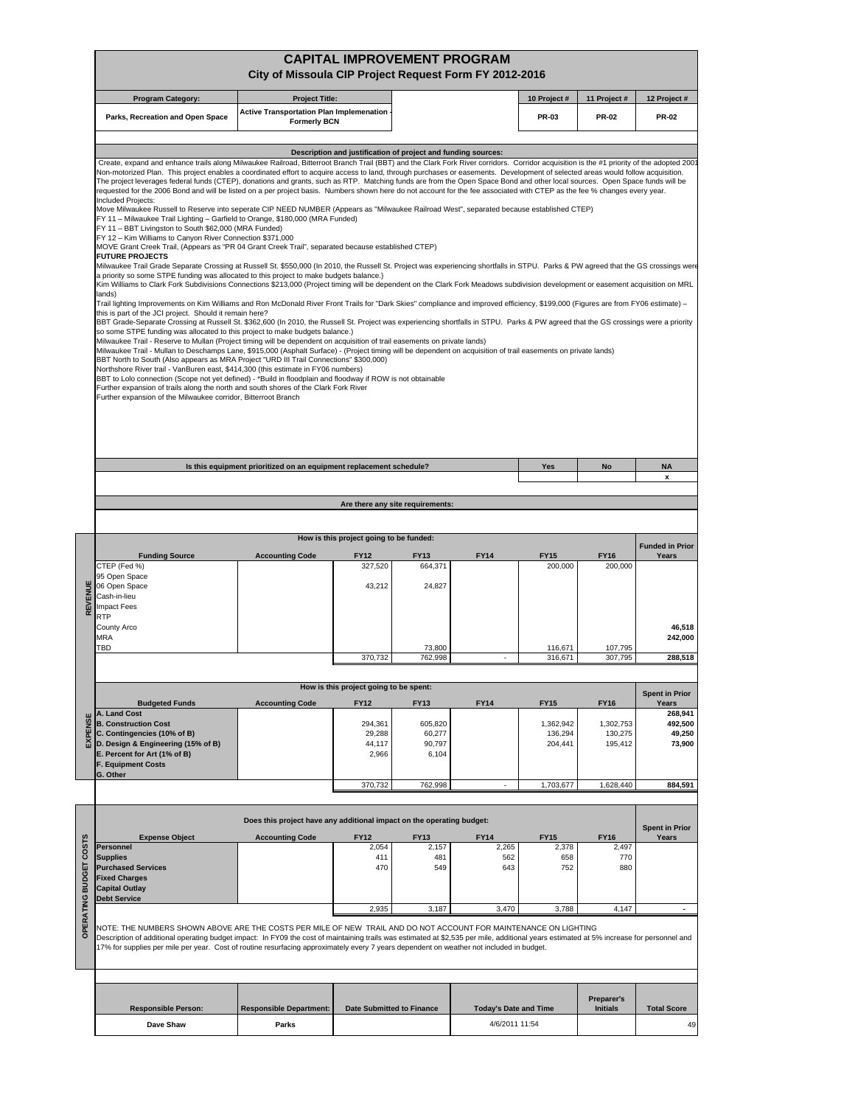|                        |                                                                                                                                                                                                                                                                                                                                                                                                                                                                                                                                                                                                                                                                                                                                                                                                                                                                                                                                                                                                                                                                                                                                                                                                                                                                                                                                                                                                                                                                                                                                                                                                                                                                                                                                                                                                                                                                                                                                                                                                                                                                                                                                                                                                                                                                                                                                                                                                                                                                                                                                                                                                                                                                                                                                                                                                                                                                                                                                                                                                                       | City of Missoula CIP Project Request Form FY 2012-2016                | <b>CAPITAL IMPROVEMENT PROGRAM</b>                            |                                      |                                                |                                 |                                 |                                        |
|------------------------|-----------------------------------------------------------------------------------------------------------------------------------------------------------------------------------------------------------------------------------------------------------------------------------------------------------------------------------------------------------------------------------------------------------------------------------------------------------------------------------------------------------------------------------------------------------------------------------------------------------------------------------------------------------------------------------------------------------------------------------------------------------------------------------------------------------------------------------------------------------------------------------------------------------------------------------------------------------------------------------------------------------------------------------------------------------------------------------------------------------------------------------------------------------------------------------------------------------------------------------------------------------------------------------------------------------------------------------------------------------------------------------------------------------------------------------------------------------------------------------------------------------------------------------------------------------------------------------------------------------------------------------------------------------------------------------------------------------------------------------------------------------------------------------------------------------------------------------------------------------------------------------------------------------------------------------------------------------------------------------------------------------------------------------------------------------------------------------------------------------------------------------------------------------------------------------------------------------------------------------------------------------------------------------------------------------------------------------------------------------------------------------------------------------------------------------------------------------------------------------------------------------------------------------------------------------------------------------------------------------------------------------------------------------------------------------------------------------------------------------------------------------------------------------------------------------------------------------------------------------------------------------------------------------------------------------------------------------------------------------------------------------------------|-----------------------------------------------------------------------|---------------------------------------------------------------|--------------------------------------|------------------------------------------------|---------------------------------|---------------------------------|----------------------------------------|
|                        | <b>Program Category:</b>                                                                                                                                                                                                                                                                                                                                                                                                                                                                                                                                                                                                                                                                                                                                                                                                                                                                                                                                                                                                                                                                                                                                                                                                                                                                                                                                                                                                                                                                                                                                                                                                                                                                                                                                                                                                                                                                                                                                                                                                                                                                                                                                                                                                                                                                                                                                                                                                                                                                                                                                                                                                                                                                                                                                                                                                                                                                                                                                                                                              | <b>Project Title:</b>                                                 |                                                               |                                      |                                                | 10 Project #                    | 11 Project #                    | 12 Project #                           |
|                        | Parks, Recreation and Open Space                                                                                                                                                                                                                                                                                                                                                                                                                                                                                                                                                                                                                                                                                                                                                                                                                                                                                                                                                                                                                                                                                                                                                                                                                                                                                                                                                                                                                                                                                                                                                                                                                                                                                                                                                                                                                                                                                                                                                                                                                                                                                                                                                                                                                                                                                                                                                                                                                                                                                                                                                                                                                                                                                                                                                                                                                                                                                                                                                                                      | <b>Active Transportation Plan Implemenation</b>                       |                                                               |                                      |                                                | PR-03                           | <b>PR-02</b>                    | <b>PR-02</b>                           |
|                        |                                                                                                                                                                                                                                                                                                                                                                                                                                                                                                                                                                                                                                                                                                                                                                                                                                                                                                                                                                                                                                                                                                                                                                                                                                                                                                                                                                                                                                                                                                                                                                                                                                                                                                                                                                                                                                                                                                                                                                                                                                                                                                                                                                                                                                                                                                                                                                                                                                                                                                                                                                                                                                                                                                                                                                                                                                                                                                                                                                                                                       | <b>Formerly BCN</b>                                                   |                                                               |                                      |                                                |                                 |                                 |                                        |
|                        | Create, expand and enhance trails along Milwaukee Railroad, Bitterroot Branch Trail (BBT) and the Clark Fork River corridors. Corridor acquisition is the #1 priority of the adopted 200<br>Non-motorized Plan. This project enables a coordinated effort to acquire access to land, through purchases or easements. Development of selected areas would follow acquisition.<br>The project leverages federal funds (CTEP), donations and grants, such as RTP. Matching funds are from the Open Space Bond and other local sources. Open Space funds will be<br>requested for the 2006 Bond and will be listed on a per project basis. Numbers shown here do not account for the fee associated with CTEP as the fee % changes every year.<br>Included Projects:<br>Move Milwaukee Russell to Reserve into seperate CIP NEED NUMBER (Appears as "Milwaukee Railroad West", separated because established CTEP)<br>FY 11 - Milwaukee Trail Lighting - Garfield to Orange, \$180,000 (MRA Funded)<br>FY 11 - BBT Livingston to South \$62,000 (MRA Funded)<br>FY 12 - Kim Williams to Canyon River Connection \$371,000<br>MOVE Grant Creek Trail, (Appears as "PR 04 Grant Creek Trail", separated because established CTEP)<br><b>FUTURE PROJECTS</b><br>Milwaukee Trail Grade Separate Crossing at Russell St. \$550,000 (In 2010, the Russell St. Project was experiencing shortfalls in STPU. Parks & PW agreed that the GS crossings were<br>a priority so some STPE funding was allocated to this project to make budgets balance.)<br>Kim Williams to Clark Fork Subdivisions Connections \$213,000 (Project timing will be dependent on the Clark Fork Meadows subdivision development or easement acquisition on MRL<br>lands)<br>Trail lighting Improvements on Kim Williams and Ron McDonald River Front Trails for "Dark Skies" compliance and improved efficiency, \$199,000 (Figures are from FY06 estimate) -<br>this is part of the JCI project. Should it remain here?<br>BBT Grade-Separate Crossing at Russell St. \$362,600 (In 2010, the Russell St. Project was experiencing shortfalls in STPU. Parks & PW agreed that the GS crossings were a priority<br>so some STPE funding was allocated to this project to make budgets balance.)<br>Milwaukee Trail - Reserve to Mullan (Project timing will be dependent on acquisition of trail easements on private lands)<br>Milwaukee Trail - Mullan to Deschamps Lane, \$915,000 (Asphalt Surface) - (Project timing will be dependent on acquisition of trail easements on private lands)<br>BBT North to South (Also appears as MRA Project "URD III Trail Connections" \$300,000)<br>Northshore River trail - VanBuren east, \$414,300 (this estimate in FY06 numbers)<br>BBT to Lolo connection (Scope not yet defined) - *Build in floodplain and floodway if ROW is not obtainable<br>Further expansion of trails along the north and south shores of the Clark Fork River<br>Further expansion of the Milwaukee corridor, Bitterroot Branch |                                                                       | Description and justification of project and funding sources: |                                      |                                                |                                 |                                 |                                        |
|                        |                                                                                                                                                                                                                                                                                                                                                                                                                                                                                                                                                                                                                                                                                                                                                                                                                                                                                                                                                                                                                                                                                                                                                                                                                                                                                                                                                                                                                                                                                                                                                                                                                                                                                                                                                                                                                                                                                                                                                                                                                                                                                                                                                                                                                                                                                                                                                                                                                                                                                                                                                                                                                                                                                                                                                                                                                                                                                                                                                                                                                       | Is this equipment prioritized on an equipment replacement schedule?   |                                                               |                                      |                                                | Yes                             | No                              | <b>NA</b>                              |
|                        |                                                                                                                                                                                                                                                                                                                                                                                                                                                                                                                                                                                                                                                                                                                                                                                                                                                                                                                                                                                                                                                                                                                                                                                                                                                                                                                                                                                                                                                                                                                                                                                                                                                                                                                                                                                                                                                                                                                                                                                                                                                                                                                                                                                                                                                                                                                                                                                                                                                                                                                                                                                                                                                                                                                                                                                                                                                                                                                                                                                                                       |                                                                       |                                                               |                                      |                                                |                                 |                                 | x                                      |
|                        |                                                                                                                                                                                                                                                                                                                                                                                                                                                                                                                                                                                                                                                                                                                                                                                                                                                                                                                                                                                                                                                                                                                                                                                                                                                                                                                                                                                                                                                                                                                                                                                                                                                                                                                                                                                                                                                                                                                                                                                                                                                                                                                                                                                                                                                                                                                                                                                                                                                                                                                                                                                                                                                                                                                                                                                                                                                                                                                                                                                                                       |                                                                       | Are there any site requirements:                              |                                      |                                                |                                 |                                 |                                        |
|                        |                                                                                                                                                                                                                                                                                                                                                                                                                                                                                                                                                                                                                                                                                                                                                                                                                                                                                                                                                                                                                                                                                                                                                                                                                                                                                                                                                                                                                                                                                                                                                                                                                                                                                                                                                                                                                                                                                                                                                                                                                                                                                                                                                                                                                                                                                                                                                                                                                                                                                                                                                                                                                                                                                                                                                                                                                                                                                                                                                                                                                       |                                                                       |                                                               |                                      |                                                |                                 |                                 |                                        |
|                        |                                                                                                                                                                                                                                                                                                                                                                                                                                                                                                                                                                                                                                                                                                                                                                                                                                                                                                                                                                                                                                                                                                                                                                                                                                                                                                                                                                                                                                                                                                                                                                                                                                                                                                                                                                                                                                                                                                                                                                                                                                                                                                                                                                                                                                                                                                                                                                                                                                                                                                                                                                                                                                                                                                                                                                                                                                                                                                                                                                                                                       |                                                                       | How is this project going to be funded:                       |                                      |                                                |                                 |                                 |                                        |
|                        | <b>Funding Source</b>                                                                                                                                                                                                                                                                                                                                                                                                                                                                                                                                                                                                                                                                                                                                                                                                                                                                                                                                                                                                                                                                                                                                                                                                                                                                                                                                                                                                                                                                                                                                                                                                                                                                                                                                                                                                                                                                                                                                                                                                                                                                                                                                                                                                                                                                                                                                                                                                                                                                                                                                                                                                                                                                                                                                                                                                                                                                                                                                                                                                 | <b>Accounting Code</b>                                                | <b>FY12</b>                                                   | <b>FY13</b>                          | <b>FY14</b>                                    | <b>FY15</b>                     | <b>FY16</b>                     | <b>Funded in Prior</b><br>Years        |
| REVENUE                | CTEP (Fed %)<br>95 Open Space<br>06 Open Space<br>Cash-in-lieu<br><b>Impact Fees</b><br><b>RTP</b><br>County Arco                                                                                                                                                                                                                                                                                                                                                                                                                                                                                                                                                                                                                                                                                                                                                                                                                                                                                                                                                                                                                                                                                                                                                                                                                                                                                                                                                                                                                                                                                                                                                                                                                                                                                                                                                                                                                                                                                                                                                                                                                                                                                                                                                                                                                                                                                                                                                                                                                                                                                                                                                                                                                                                                                                                                                                                                                                                                                                     |                                                                       | 327,520<br>43,212                                             | 664,371<br>24,827                    |                                                | 200,000                         | 200,000                         | 46,518                                 |
|                        | <b>MRA</b>                                                                                                                                                                                                                                                                                                                                                                                                                                                                                                                                                                                                                                                                                                                                                                                                                                                                                                                                                                                                                                                                                                                                                                                                                                                                                                                                                                                                                                                                                                                                                                                                                                                                                                                                                                                                                                                                                                                                                                                                                                                                                                                                                                                                                                                                                                                                                                                                                                                                                                                                                                                                                                                                                                                                                                                                                                                                                                                                                                                                            |                                                                       |                                                               |                                      |                                                |                                 |                                 | 242,000                                |
|                        | TBD                                                                                                                                                                                                                                                                                                                                                                                                                                                                                                                                                                                                                                                                                                                                                                                                                                                                                                                                                                                                                                                                                                                                                                                                                                                                                                                                                                                                                                                                                                                                                                                                                                                                                                                                                                                                                                                                                                                                                                                                                                                                                                                                                                                                                                                                                                                                                                                                                                                                                                                                                                                                                                                                                                                                                                                                                                                                                                                                                                                                                   |                                                                       | 370,732                                                       | 73,800<br>762,998                    | $\sim$                                         | 116,671<br>316,671              | 107.795<br>307,795              | 288,518                                |
|                        |                                                                                                                                                                                                                                                                                                                                                                                                                                                                                                                                                                                                                                                                                                                                                                                                                                                                                                                                                                                                                                                                                                                                                                                                                                                                                                                                                                                                                                                                                                                                                                                                                                                                                                                                                                                                                                                                                                                                                                                                                                                                                                                                                                                                                                                                                                                                                                                                                                                                                                                                                                                                                                                                                                                                                                                                                                                                                                                                                                                                                       |                                                                       |                                                               |                                      |                                                |                                 |                                 |                                        |
|                        |                                                                                                                                                                                                                                                                                                                                                                                                                                                                                                                                                                                                                                                                                                                                                                                                                                                                                                                                                                                                                                                                                                                                                                                                                                                                                                                                                                                                                                                                                                                                                                                                                                                                                                                                                                                                                                                                                                                                                                                                                                                                                                                                                                                                                                                                                                                                                                                                                                                                                                                                                                                                                                                                                                                                                                                                                                                                                                                                                                                                                       |                                                                       | How is this project going to be spent:                        |                                      |                                                |                                 |                                 | <b>Spent in Prior</b>                  |
|                        | <b>Budgeted Funds</b>                                                                                                                                                                                                                                                                                                                                                                                                                                                                                                                                                                                                                                                                                                                                                                                                                                                                                                                                                                                                                                                                                                                                                                                                                                                                                                                                                                                                                                                                                                                                                                                                                                                                                                                                                                                                                                                                                                                                                                                                                                                                                                                                                                                                                                                                                                                                                                                                                                                                                                                                                                                                                                                                                                                                                                                                                                                                                                                                                                                                 | <b>Accounting Code</b>                                                | <b>FY12</b>                                                   | <b>FY13</b>                          | <b>FY14</b>                                    | <b>FY15</b>                     | <b>FY16</b>                     | Years                                  |
| EXPENSE                | A. Land Cost<br><b>B. Construction Cost</b><br>C. Contingencies (10% of B)<br>D. Design & Engineering (15% of B)<br>E. Percent for Art (1% of B)<br><b>F. Equipment Costs</b><br>G. Other                                                                                                                                                                                                                                                                                                                                                                                                                                                                                                                                                                                                                                                                                                                                                                                                                                                                                                                                                                                                                                                                                                                                                                                                                                                                                                                                                                                                                                                                                                                                                                                                                                                                                                                                                                                                                                                                                                                                                                                                                                                                                                                                                                                                                                                                                                                                                                                                                                                                                                                                                                                                                                                                                                                                                                                                                             |                                                                       | 294,361<br>29,288<br>44,117<br>2,966                          | 605,820<br>60,277<br>90.797<br>6,104 |                                                | 1,362,942<br>136,294<br>204,441 | 1,302,753<br>130,275<br>195,412 | 268,941<br>492,500<br>49,250<br>73,900 |
|                        |                                                                                                                                                                                                                                                                                                                                                                                                                                                                                                                                                                                                                                                                                                                                                                                                                                                                                                                                                                                                                                                                                                                                                                                                                                                                                                                                                                                                                                                                                                                                                                                                                                                                                                                                                                                                                                                                                                                                                                                                                                                                                                                                                                                                                                                                                                                                                                                                                                                                                                                                                                                                                                                                                                                                                                                                                                                                                                                                                                                                                       |                                                                       | 370,732                                                       | 762,998                              |                                                | 1,703,677                       | 1,628,440                       | 884,591                                |
|                        |                                                                                                                                                                                                                                                                                                                                                                                                                                                                                                                                                                                                                                                                                                                                                                                                                                                                                                                                                                                                                                                                                                                                                                                                                                                                                                                                                                                                                                                                                                                                                                                                                                                                                                                                                                                                                                                                                                                                                                                                                                                                                                                                                                                                                                                                                                                                                                                                                                                                                                                                                                                                                                                                                                                                                                                                                                                                                                                                                                                                                       |                                                                       |                                                               |                                      |                                                |                                 |                                 |                                        |
|                        |                                                                                                                                                                                                                                                                                                                                                                                                                                                                                                                                                                                                                                                                                                                                                                                                                                                                                                                                                                                                                                                                                                                                                                                                                                                                                                                                                                                                                                                                                                                                                                                                                                                                                                                                                                                                                                                                                                                                                                                                                                                                                                                                                                                                                                                                                                                                                                                                                                                                                                                                                                                                                                                                                                                                                                                                                                                                                                                                                                                                                       | Does this project have any additional impact on the operating budget: |                                                               |                                      |                                                |                                 |                                 | <b>Spent in Prior</b>                  |
|                        | <b>Expense Object</b><br>Personnel                                                                                                                                                                                                                                                                                                                                                                                                                                                                                                                                                                                                                                                                                                                                                                                                                                                                                                                                                                                                                                                                                                                                                                                                                                                                                                                                                                                                                                                                                                                                                                                                                                                                                                                                                                                                                                                                                                                                                                                                                                                                                                                                                                                                                                                                                                                                                                                                                                                                                                                                                                                                                                                                                                                                                                                                                                                                                                                                                                                    | <b>Accounting Code</b>                                                | <b>FY12</b><br>2,054                                          | <b>FY13</b><br>2,157                 | <b>FY14</b><br>2,265                           | <b>FY15</b><br>2,378            | <b>FY16</b><br>2,497            | Years                                  |
| OPERATING BUDGET COSTS | <b>Supplies</b><br><b>Purchased Services</b><br><b>Fixed Charges</b><br><b>Capital Outlay</b><br><b>Debt Service</b>                                                                                                                                                                                                                                                                                                                                                                                                                                                                                                                                                                                                                                                                                                                                                                                                                                                                                                                                                                                                                                                                                                                                                                                                                                                                                                                                                                                                                                                                                                                                                                                                                                                                                                                                                                                                                                                                                                                                                                                                                                                                                                                                                                                                                                                                                                                                                                                                                                                                                                                                                                                                                                                                                                                                                                                                                                                                                                  |                                                                       | 411<br>470                                                    | 481<br>549                           | 562<br>643                                     | 658<br>752                      | 770<br>880                      |                                        |
|                        | NOTE: THE NUMBERS SHOWN ABOVE ARE THE COSTS PER MILE OF NEW TRAIL AND DO NOT ACCOUNT FOR MAINTENANCE ON LIGHTING<br>Description of additional operating budget impact: In FY09 the cost of maintaining trails was estimated at \$2,535 per mile, additional years estimated at 5% increase for personnel and<br>17% for supplies per mile per year. Cost of routine resurfacing approximately every 7 years dependent on weather not included in budget.                                                                                                                                                                                                                                                                                                                                                                                                                                                                                                                                                                                                                                                                                                                                                                                                                                                                                                                                                                                                                                                                                                                                                                                                                                                                                                                                                                                                                                                                                                                                                                                                                                                                                                                                                                                                                                                                                                                                                                                                                                                                                                                                                                                                                                                                                                                                                                                                                                                                                                                                                              |                                                                       | 2,935                                                         | 3,187                                | 3,470                                          | 3,788                           | 4,147                           | $\blacksquare$                         |
|                        |                                                                                                                                                                                                                                                                                                                                                                                                                                                                                                                                                                                                                                                                                                                                                                                                                                                                                                                                                                                                                                                                                                                                                                                                                                                                                                                                                                                                                                                                                                                                                                                                                                                                                                                                                                                                                                                                                                                                                                                                                                                                                                                                                                                                                                                                                                                                                                                                                                                                                                                                                                                                                                                                                                                                                                                                                                                                                                                                                                                                                       |                                                                       |                                                               |                                      |                                                |                                 |                                 |                                        |
|                        | <b>Responsible Person:</b><br>Dave Shaw                                                                                                                                                                                                                                                                                                                                                                                                                                                                                                                                                                                                                                                                                                                                                                                                                                                                                                                                                                                                                                                                                                                                                                                                                                                                                                                                                                                                                                                                                                                                                                                                                                                                                                                                                                                                                                                                                                                                                                                                                                                                                                                                                                                                                                                                                                                                                                                                                                                                                                                                                                                                                                                                                                                                                                                                                                                                                                                                                                               | <b>Responsible Department:</b><br>Parks                               | <b>Date Submitted to Finance</b>                              |                                      | <b>Today's Date and Time</b><br>4/6/2011 11:54 |                                 | Preparer's<br><b>Initials</b>   | <b>Total Score</b><br>49               |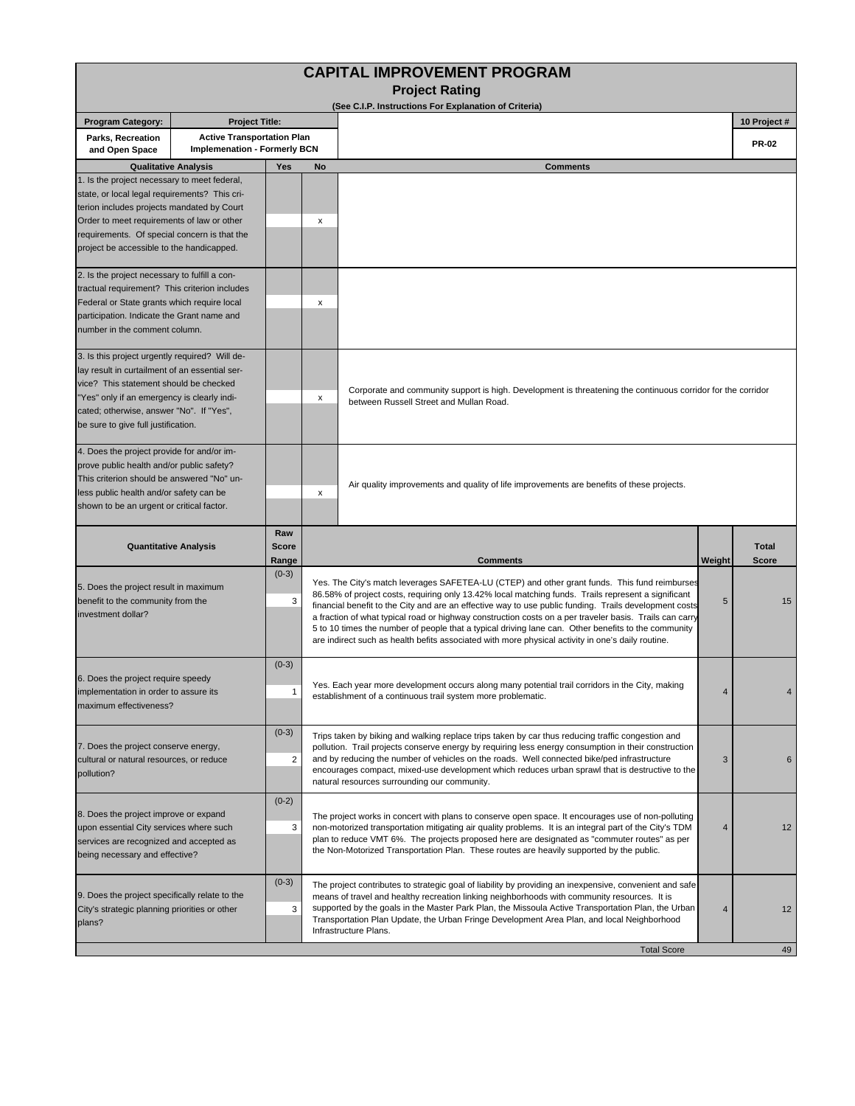|                                                                                                                                                                                                                                                                                        |                                                                          |                              |                                                                                                                                                                                                                                                                                                                                                                                                                                                 | <b>CAPITAL IMPROVEMENT PROGRAM</b><br><b>Project Rating</b>                                                                                                                                                                                                                                                                                                                                                                                                                                                                                                                                                                           |        |                       |  |  |  |
|----------------------------------------------------------------------------------------------------------------------------------------------------------------------------------------------------------------------------------------------------------------------------------------|--------------------------------------------------------------------------|------------------------------|-------------------------------------------------------------------------------------------------------------------------------------------------------------------------------------------------------------------------------------------------------------------------------------------------------------------------------------------------------------------------------------------------------------------------------------------------|---------------------------------------------------------------------------------------------------------------------------------------------------------------------------------------------------------------------------------------------------------------------------------------------------------------------------------------------------------------------------------------------------------------------------------------------------------------------------------------------------------------------------------------------------------------------------------------------------------------------------------------|--------|-----------------------|--|--|--|
| <b>Program Category:</b>                                                                                                                                                                                                                                                               | <b>Project Title:</b>                                                    |                              |                                                                                                                                                                                                                                                                                                                                                                                                                                                 | (See C.I.P. Instructions For Explanation of Criteria)                                                                                                                                                                                                                                                                                                                                                                                                                                                                                                                                                                                 |        | 10 Project #          |  |  |  |
| Parks, Recreation<br>and Open Space                                                                                                                                                                                                                                                    | <b>Active Transportation Plan</b><br><b>Implemenation - Formerly BCN</b> |                              |                                                                                                                                                                                                                                                                                                                                                                                                                                                 |                                                                                                                                                                                                                                                                                                                                                                                                                                                                                                                                                                                                                                       |        | <b>PR-02</b>          |  |  |  |
| <b>Qualitative Analysis</b>                                                                                                                                                                                                                                                            |                                                                          | Yes                          | <b>No</b>                                                                                                                                                                                                                                                                                                                                                                                                                                       | <b>Comments</b>                                                                                                                                                                                                                                                                                                                                                                                                                                                                                                                                                                                                                       |        |                       |  |  |  |
| 1. Is the project necessary to meet federal,<br>state, or local legal requirements? This cri-<br>terion includes projects mandated by Court<br>Order to meet requirements of law or other<br>requirements. Of special concern is that the<br>project be accessible to the handicapped. |                                                                          |                              | х                                                                                                                                                                                                                                                                                                                                                                                                                                               |                                                                                                                                                                                                                                                                                                                                                                                                                                                                                                                                                                                                                                       |        |                       |  |  |  |
| 2. Is the project necessary to fulfill a con-<br>tractual requirement? This criterion includes<br>Federal or State grants which require local<br>participation. Indicate the Grant name and<br>number in the comment column.                                                           |                                                                          |                              | х                                                                                                                                                                                                                                                                                                                                                                                                                                               |                                                                                                                                                                                                                                                                                                                                                                                                                                                                                                                                                                                                                                       |        |                       |  |  |  |
| 3. Is this project urgently required? Will de-<br>lay result in curtailment of an essential ser-<br>vice? This statement should be checked<br>"Yes" only if an emergency is clearly indi-<br>cated; otherwise, answer "No". If "Yes",<br>be sure to give full justification.           |                                                                          | X                            | Corporate and community support is high. Development is threatening the continuous corridor for the corridor<br>between Russell Street and Mullan Road.                                                                                                                                                                                                                                                                                         |                                                                                                                                                                                                                                                                                                                                                                                                                                                                                                                                                                                                                                       |        |                       |  |  |  |
| 4. Does the project provide for and/or im-<br>prove public health and/or public safety?<br>This criterion should be answered "No" un-<br>less public health and/or safety can be<br>shown to be an urgent or critical factor.                                                          |                                                                          |                              | х                                                                                                                                                                                                                                                                                                                                                                                                                                               | Air quality improvements and quality of life improvements are benefits of these projects.                                                                                                                                                                                                                                                                                                                                                                                                                                                                                                                                             |        |                       |  |  |  |
| <b>Quantitative Analysis</b>                                                                                                                                                                                                                                                           |                                                                          | Raw<br><b>Score</b><br>Range |                                                                                                                                                                                                                                                                                                                                                                                                                                                 | <b>Comments</b>                                                                                                                                                                                                                                                                                                                                                                                                                                                                                                                                                                                                                       | Weight | <b>Total</b><br>Score |  |  |  |
| 5. Does the project result in maximum<br>benefit to the community from the<br>investment dollar?                                                                                                                                                                                       |                                                                          | $(0-3)$<br>3                 |                                                                                                                                                                                                                                                                                                                                                                                                                                                 | Yes. The City's match leverages SAFETEA-LU (CTEP) and other grant funds. This fund reimburses<br>86.58% of project costs, requiring only 13.42% local matching funds. Trails represent a significant<br>financial benefit to the City and are an effective way to use public funding. Trails development costs<br>a fraction of what typical road or highway construction costs on a per traveler basis. Trails can carry<br>5 to 10 times the number of people that a typical driving lane can. Other benefits to the community<br>are indirect such as health befits associated with more physical activity in one's daily routine. | 5      | 15                    |  |  |  |
| 6. Does the project require speedy<br>implementation in order to assure its<br>maximum effectiveness?                                                                                                                                                                                  |                                                                          | $(0-3)$<br>-1                |                                                                                                                                                                                                                                                                                                                                                                                                                                                 | Yes. Each year more development occurs along many potential trail corridors in the City, making<br>establishment of a continuous trail system more problematic.                                                                                                                                                                                                                                                                                                                                                                                                                                                                       | 4      |                       |  |  |  |
| 7. Does the project conserve energy,<br>cultural or natural resources, or reduce<br>pollution?                                                                                                                                                                                         |                                                                          | $(0-3)$<br>$\overline{2}$    |                                                                                                                                                                                                                                                                                                                                                                                                                                                 | Trips taken by biking and walking replace trips taken by car thus reducing traffic congestion and<br>pollution. Trail projects conserve energy by requiring less energy consumption in their construction<br>and by reducing the number of vehicles on the roads. Well connected bike/ped infrastructure<br>encourages compact, mixed-use development which reduces urban sprawl that is destructive to the<br>natural resources surrounding our community.                                                                                                                                                                           | 3      | 6                     |  |  |  |
| 8. Does the project improve or expand<br>upon essential City services where such<br>services are recognized and accepted as<br>being necessary and effective?                                                                                                                          |                                                                          | $(0-2)$<br>3                 | The project works in concert with plans to conserve open space. It encourages use of non-polluting<br>non-motorized transportation mitigating air quality problems. It is an integral part of the City's TDM<br>12<br>4<br>plan to reduce VMT 6%. The projects proposed here are designated as "commuter routes" as per<br>the Non-Motorized Transportation Plan. These routes are heavily supported by the public.                             |                                                                                                                                                                                                                                                                                                                                                                                                                                                                                                                                                                                                                                       |        |                       |  |  |  |
| 9. Does the project specifically relate to the<br>City's strategic planning priorities or other<br>plans?                                                                                                                                                                              |                                                                          | $(0-3)$<br>3                 | The project contributes to strategic goal of liability by providing an inexpensive, convenient and safe<br>means of travel and healthy recreation linking neighborhoods with community resources. It is<br>supported by the goals in the Master Park Plan, the Missoula Active Transportation Plan, the Urban<br>12<br>4<br>Transportation Plan Update, the Urban Fringe Development Area Plan, and local Neighborhood<br>Infrastructure Plans. |                                                                                                                                                                                                                                                                                                                                                                                                                                                                                                                                                                                                                                       |        |                       |  |  |  |
|                                                                                                                                                                                                                                                                                        |                                                                          |                              |                                                                                                                                                                                                                                                                                                                                                                                                                                                 | <b>Total Score</b>                                                                                                                                                                                                                                                                                                                                                                                                                                                                                                                                                                                                                    |        | 49                    |  |  |  |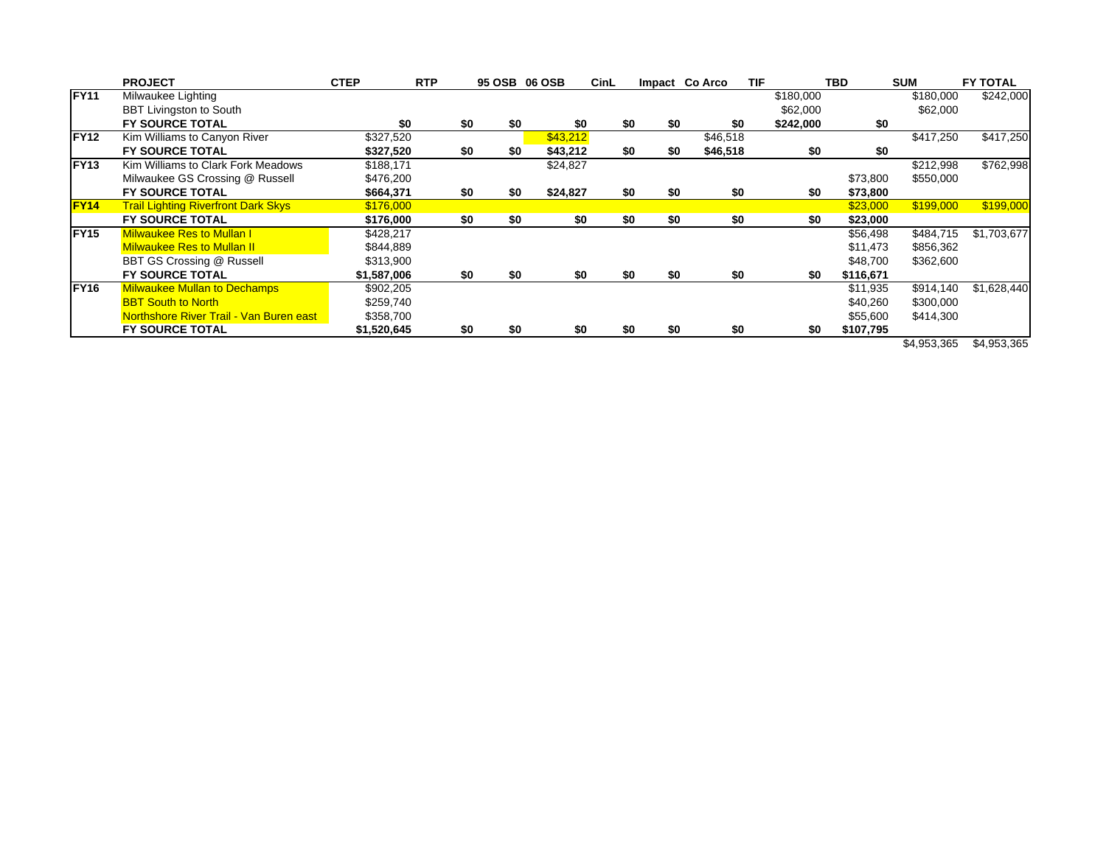|                   | <b>PROJECT</b>                             | <b>CTEP</b> | <b>RTP</b> |     |     | 95 OSB 06 OSB | CinL |     |     | Impact Co Arco | <b>TIF</b> |           | <b>TBD</b> | <b>SUM</b>  | <b>FY TOTAL</b> |
|-------------------|--------------------------------------------|-------------|------------|-----|-----|---------------|------|-----|-----|----------------|------------|-----------|------------|-------------|-----------------|
| <b>FY11</b>       | Milwaukee Lighting                         |             |            |     |     |               |      |     |     |                |            | \$180,000 |            | \$180,000   | \$242,000       |
|                   | <b>BBT Livingston to South</b>             |             |            |     |     |               |      |     |     |                |            | \$62,000  |            | \$62,000    |                 |
|                   | <b>FY SOURCE TOTAL</b>                     | \$0         |            | \$0 | \$0 | \$0           |      | \$0 | \$0 |                | \$0        | \$242,000 | \$0        |             |                 |
| <b>FY12</b>       | Kim Williams to Canyon River               | \$327,520   |            |     |     | \$43,212      |      |     |     | \$46,518       |            |           |            | \$417,250   | \$417,250       |
|                   | <b>FY SOURCE TOTAL</b>                     | \$327,520   |            | \$0 | \$0 | \$43,212      |      | \$0 | \$0 | \$46,518       |            | \$0       | \$0        |             |                 |
| FY <sub>13</sub>  | Kim Williams to Clark Fork Meadows         | \$188,171   |            |     |     | \$24,827      |      |     |     |                |            |           |            | \$212,998   | \$762,998       |
|                   | Milwaukee GS Crossing @ Russell            | \$476,200   |            |     |     |               |      |     |     |                |            |           | \$73,800   | \$550,000   |                 |
|                   | <b>FY SOURCE TOTAL</b>                     | \$664,371   |            | \$0 | \$0 | \$24,827      |      | \$0 | \$0 |                | \$0        | \$0       | \$73,800   |             |                 |
| FY <sub>14</sub>  | <b>Trail Lighting Riverfront Dark Skys</b> | \$176,000   |            |     |     |               |      |     |     |                |            |           | \$23,000   | \$199,000   | \$199,000       |
|                   | <b>FY SOURCE TOTAL</b>                     | \$176,000   |            | \$0 | \$0 | \$0           |      | \$0 | \$0 |                | \$0        | \$0       | \$23,000   |             |                 |
| IFY <sub>15</sub> | <b>Milwaukee Res to Mullan I</b>           | \$428,217   |            |     |     |               |      |     |     |                |            |           | \$56,498   | \$484,715   | \$1,703,677     |
|                   | <b>Milwaukee Res to Mullan II</b>          | \$844,889   |            |     |     |               |      |     |     |                |            |           | \$11,473   | \$856,362   |                 |
|                   | BBT GS Crossing @ Russell                  | \$313,900   |            |     |     |               |      |     |     |                |            |           | \$48,700   | \$362,600   |                 |
|                   | <b>FY SOURCE TOTAL</b>                     | \$1,587,006 |            | \$0 | \$0 | \$0           |      | \$0 | \$0 |                | \$0        | \$0       | \$116,671  |             |                 |
| FY <sub>16</sub>  | <b>Milwaukee Mullan to Dechamps</b>        | \$902,205   |            |     |     |               |      |     |     |                |            |           | \$11,935   | \$914,140   | \$1,628,440     |
|                   | <b>BBT South to North</b>                  | \$259,740   |            |     |     |               |      |     |     |                |            |           | \$40,260   | \$300,000   |                 |
|                   | Northshore River Trail - Van Buren east    | \$358,700   |            |     |     |               |      |     |     |                |            |           | \$55,600   | \$414,300   |                 |
|                   | <b>FY SOURCE TOTAL</b>                     | \$1,520,645 |            | \$0 | \$0 | \$0           |      | \$0 | \$0 |                | \$0        | \$0       | \$107,795  |             |                 |
|                   |                                            |             |            |     |     |               |      |     |     |                |            |           |            | \$4,953,365 | \$4,953,365     |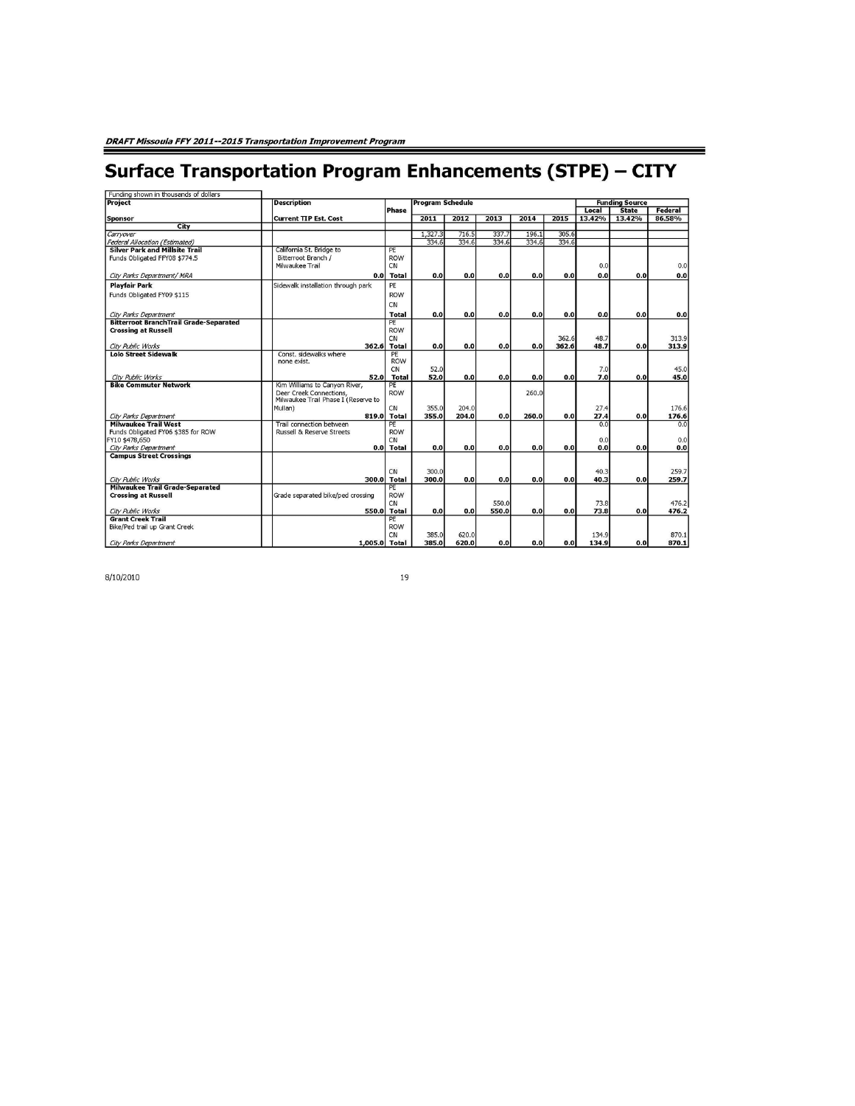## **Surface Transportation Program Enhancements (STPE) - CITY**

| Funding shown in thousands of dollars<br>Project                       | <b>Description</b>                   |              | <b>Program Schedule</b> |       |       |       |         |        | <b>Funding Source</b>  |        |
|------------------------------------------------------------------------|--------------------------------------|--------------|-------------------------|-------|-------|-------|---------|--------|------------------------|--------|
|                                                                        |                                      | Phase        |                         |       |       | Local | Federal |        |                        |        |
| Sponsor                                                                | <b>Current TIP Est. Cost</b>         |              | 2011                    | 2012  | 2013  | 2014  | 2015    | 13.42% | <b>State</b><br>13.42% | 86.58% |
| City                                                                   |                                      |              |                         |       |       |       |         |        |                        |        |
| Carryover                                                              |                                      |              | 1,327.3                 | 716.5 | 337.7 | 196.1 | 305.6   |        |                        |        |
| <b>Federal Allocation (Estimated)</b>                                  |                                      |              | 334.6                   | 334.6 | 334.6 | 334.6 | 334.6   |        |                        |        |
| <b>Silver Park and Millsite Trail</b>                                  | California St. Bridge to             | PE           |                         |       |       |       |         |        |                        |        |
| Funds Obligated FFY08 \$774.5                                          | Bitterroot Branch /                  | <b>ROW</b>   |                         |       |       |       |         |        |                        |        |
|                                                                        | Milwaukee Trail                      | CN           |                         |       |       |       |         | 0.0    |                        | 0.0    |
| City Parks Department/ MRA                                             | 0.0                                  | <b>Total</b> | 0.0                     | 0.0   | 0.0   | 0.0   | 0.0     | 0.0    | 0.0                    | 0.0    |
| <b>Playfair Park</b>                                                   | Sidewalk installation through park   | PE           |                         |       |       |       |         |        |                        |        |
| Funds Obligated FY09 \$115                                             |                                      | <b>ROW</b>   |                         |       |       |       |         |        |                        |        |
|                                                                        |                                      | CN           |                         |       |       |       |         |        |                        |        |
|                                                                        |                                      | <b>Total</b> | 0.0                     | 0.0   |       | 0.0   | 0.0     |        |                        | 0.0    |
| City Parks Department<br><b>Bitterroot BranchTrail Grade-Separated</b> |                                      | PE           |                         |       | 0.0   |       |         | 0.0    | 0.0                    |        |
| <b>Crossing at Russell</b>                                             |                                      | <b>ROW</b>   |                         |       |       |       |         |        |                        |        |
|                                                                        |                                      | CN           |                         |       |       |       | 362.6   | 48.7   |                        | 313.9  |
| City Public Works                                                      | 362.6                                | <b>Total</b> | 0.0                     | 0.0   | 0.0   | 0.0   | 362.6   | 48.7   | 0.0                    | 313.9  |
| <b>Lolo Street Sidewalk</b>                                            | Const. sidewalks where               | PE           |                         |       |       |       |         |        |                        |        |
|                                                                        | none exist.                          | <b>ROW</b>   |                         |       |       |       |         |        |                        |        |
|                                                                        |                                      | CN           | 52.0                    |       |       |       |         | 7.0    |                        | 45.0   |
| City Public Works                                                      | 52.0                                 | <b>Total</b> | 52.0                    | 0.0   | 0.0   | 0.0   | 0.0     | 7.0    | 0.0                    | 45.0   |
| <b>Bike Commuter Network</b>                                           | Kim Williams to Canvon River,        | PE           |                         |       |       |       |         |        |                        |        |
|                                                                        | Deer Creek Connections,              | <b>ROW</b>   |                         |       |       | 260.0 |         |        |                        |        |
|                                                                        | Milwaukee Trail Phase I (Reserve to  |              |                         |       |       |       |         |        |                        |        |
|                                                                        | Mullan)                              | CN           | 355.0                   | 204.0 |       |       |         | 27.4   |                        | 176.6  |
| City Parks Department                                                  | 819.0                                | <b>Total</b> | 355.0                   | 204.0 | 0.0   | 260.0 | 0.0     | 27.4   | 0.0                    | 176.6  |
| <b>Milwaukee Trail West</b>                                            | Trail connection between             | PE           |                         |       |       |       |         | 0.0    |                        | 0.0    |
| Funds Obligated FY06 \$385 for ROW                                     | <b>Russell &amp; Reserve Streets</b> | <b>ROW</b>   |                         |       |       |       |         |        |                        |        |
| FY10 \$478,650                                                         |                                      | CN           |                         |       |       |       |         | 0.0    |                        | 0.0    |
| City Parks Department                                                  | 0.01                                 | <b>Total</b> | 0.0                     | 0.0   | 0.0   | 0.0   | 0.0     | 0.0    | 0.0                    | 0.0    |
| <b>Campus Street Crossings</b>                                         |                                      |              |                         |       |       |       |         |        |                        |        |
|                                                                        |                                      | CN           | 300.0                   |       |       |       |         | 40.3   |                        | 259.7  |
| City Public Works                                                      | 300.0                                | <b>Total</b> | 300.0                   | 0.0   | 0.0   | 0.0   | 0.0     | 40.3   | 0.0                    | 259.7  |
| <b>Milwaukee Trail Grade-Separated</b>                                 |                                      | PE           |                         |       |       |       |         |        |                        |        |
| <b>Crossing at Russell</b>                                             | Grade separated bike/ped crossing    | <b>ROW</b>   |                         |       |       |       |         |        |                        |        |
|                                                                        |                                      | CN           |                         |       | 550.0 |       |         | 73.8   |                        | 476.2  |
| City Public Works                                                      | 550.0                                | <b>Total</b> | 0.0                     | 0.0   | 550.0 | 0.0   | 0.0     | 73.8   | 0.0                    | 476.2  |
| <b>Grant Creek Trail</b>                                               |                                      | PE           |                         |       |       |       |         |        |                        |        |
| Bike/Ped trail up Grant Creek                                          |                                      | <b>ROW</b>   |                         |       |       |       |         |        |                        |        |
|                                                                        |                                      | CN           | 385.0                   | 620.0 |       |       |         | 134.9  |                        | 870.1  |
| City Parks Department                                                  | 1,005.0 Total                        |              | 385.0                   | 620.0 | 0.0   | 0.0   | 0.0     | 134.9  | 0.0                    | 870.1  |

8/10/2010

19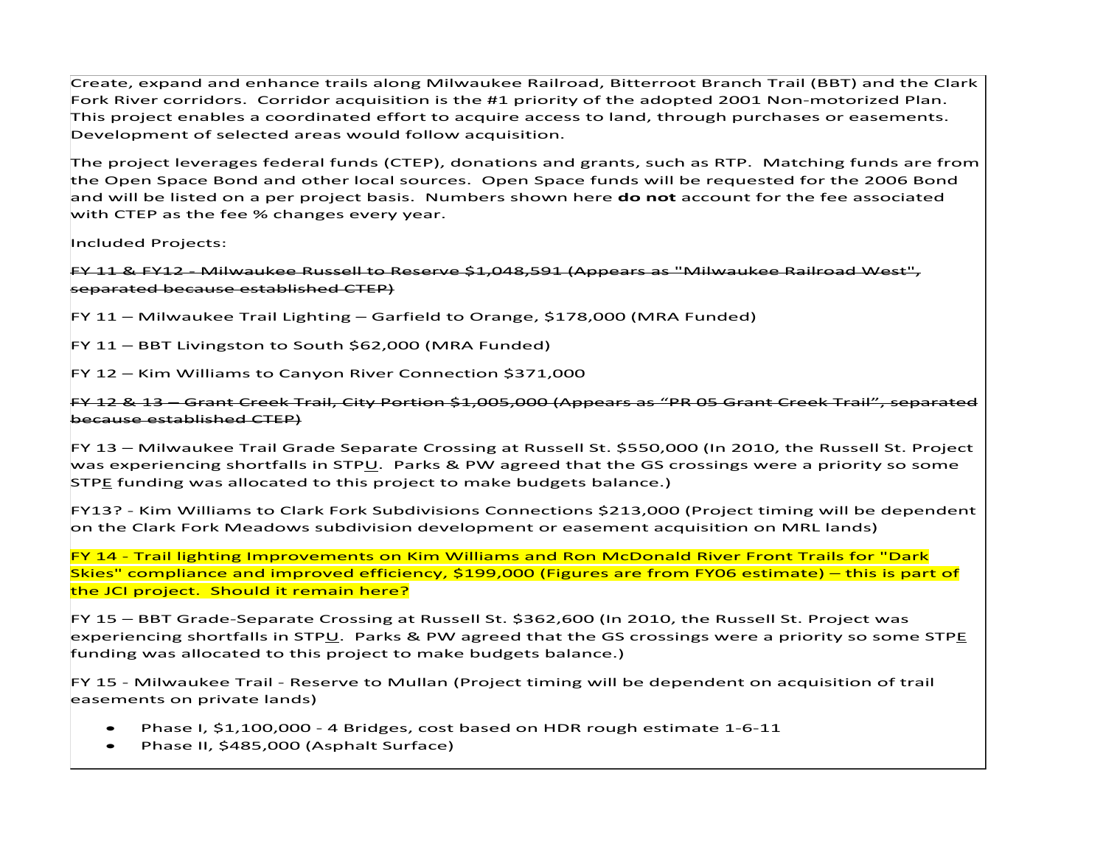Create, expand and enhance trails along Milwaukee Railroad, Bitterroot Branch Trail (BBT) and the Clark Fork River corridors. Corridor acquisition is the #1 priority of the adopted 2001 Non‐motorized Plan. This project enables <sup>a</sup> coordinated effort to acquire access to land, through purchases or easements. Development of selected areas would follow acquisition.

The project leverages federal funds (CTEP), donations and grants, such as RTP. Matching funds are from the Open Space Bond and other local sources. Open Space funds will be requested for the 2006 Bond and will be listed on <sup>a</sup> per project basis. Numbers shown here **do not** account for the fee associated with CTEP as the fee % changes every year.

Included Projects:

FY 11 & FY12 ‐ Milwaukee Russell to Reserve \$1,048,591 (Appears as "Milwaukee Railroad West", separated because established CTEP)

FY 11 – Milwaukee Trail Lighting – Garfield to Orange, \$178,000 (MRA Funded)

FY 11 – BBT Livingston to South \$62,000 (MRA Funded)

FY 12 – Kim Williams to Canyon River Connection \$371,000

FY 12 & 13 – Grant Creek Trail, City Portion \$1,005,000 (Appears as "PR 05 Grant Creek Trail", separated because established CTEP)

FY 13 – Milwaukee Trail Grade Separate Crossing at Russell St. \$550,000 (In 2010, the Russell St. Project was experiencing shortfalls in STP<u>U</u>. Parks & PW agreed that the GS crossings were a priority so some STP<u>E</u> funding was allocated to this project to make budgets balance.)

FY13? ‐ Kim Williams to Clark Fork Subdivisions Connections \$213,000 (Project timing will be dependent on the Clark Fork Meadows subdivision development or easement acquisition on MRL lands)

FY 14 ‐ Trail lighting Improvements on Kim Williams and Ron McDonald River Front Trails for "Dark Skies" compliance and improved efficiency, \$199,000 (Figures are from FY06 estimate) – this is part of the JCI project. Should it remain here?

FY 15 – BBT Grade‐Separate Crossing at Russell St. \$362,600 (In 2010, the Russell St. Project was experiencing shortfalls in STPU. Parks & PW agreed that the GS crossings were <sup>a</sup> priority so some STPE funding was allocated to this project to make budgets balance.)

FY 15 ‐ Milwaukee Trail ‐ Reserve to Mullan (Project timing will be dependent on acquisition of trail easements on private lands)

- . ● Phase I, \$1,100,000 - 4 Bridges, cost based on HDR rough estimate 1-6-11
- Phase II, \$485,000 (Asphalt Surface)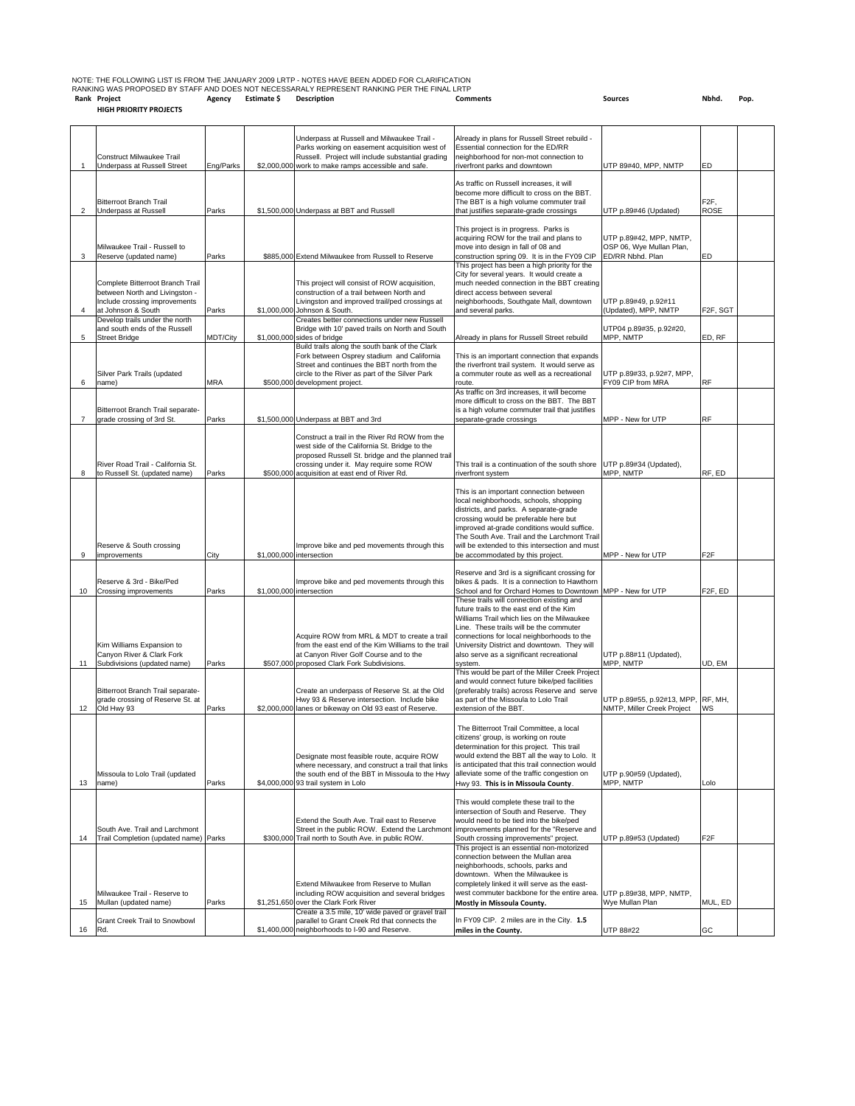|    |                                                                         |           | Underpass at Russell and Milwaukee Trail -                                                          | Already in plans for Russell Street rebuild -                                                           |                                                     |                       |  |
|----|-------------------------------------------------------------------------|-----------|-----------------------------------------------------------------------------------------------------|---------------------------------------------------------------------------------------------------------|-----------------------------------------------------|-----------------------|--|
|    | Construct Milwaukee Trail                                               |           | Parks working on easement acquisition west of<br>Russell. Project will include substantial grading  | Essential connection for the ED/RR<br>neighborhood for non-mot connection to                            |                                                     |                       |  |
|    | Underpass at Russell Street                                             | Eng/Parks | \$2,000,000 work to make ramps accessible and safe.                                                 | riverfront parks and downtown                                                                           | UTP 89#40, MPP, NMTP                                | ED                    |  |
|    |                                                                         |           |                                                                                                     | As traffic on Russell increases, it will                                                                |                                                     |                       |  |
|    | <b>Bitterroot Branch Trail</b>                                          |           |                                                                                                     | become more difficult to cross on the BBT.<br>The BBT is a high volume commuter trail                   |                                                     | F <sub>2</sub> F,     |  |
| 2  | Underpass at Russell                                                    | Parks     | \$1,500,000 Underpass at BBT and Russell                                                            | that justifies separate-grade crossings                                                                 | UTP p.89#46 (Updated)                               | <b>ROSE</b>           |  |
|    |                                                                         |           |                                                                                                     | This project is in progress. Parks is                                                                   |                                                     |                       |  |
|    | Milwaukee Trail - Russell to                                            |           |                                                                                                     | acquiring ROW for the trail and plans to<br>move into design in fall of 08 and                          | UTP p.89#42, MPP, NMTP,<br>OSP 06, Wye Mullan Plan, |                       |  |
| 3  | Reserve (updated name)                                                  | Parks     | \$885,000 Extend Milwaukee from Russell to Reserve                                                  | construction spring 09. It is in the FY09 CIP<br>This project has been a high priority for the          | ED/RR Nbhd. Plan                                    | ED                    |  |
|    |                                                                         |           |                                                                                                     | City for several years. It would create a                                                               |                                                     |                       |  |
|    | Complete Bitterroot Branch Trail<br>between North and Livingston -      |           | This project will consist of ROW acquisition,<br>construction of a trail between North and          | much needed connection in the BBT creating<br>direct access between several                             |                                                     |                       |  |
|    | Include crossing improvements<br>at Johnson & South                     | Parks     | Livingston and improved trail/ped crossings at<br>\$1,000,000 Johnson & South.                      | neighborhoods, Southgate Mall, downtown<br>and several parks.                                           | UTP p.89#49, p.92#11<br>(Updated), MPP, NMTP        | F <sub>2</sub> F, SGT |  |
|    | Develop trails under the north                                          |           | Creates better connections under new Russell                                                        |                                                                                                         |                                                     |                       |  |
| 5  | and south ends of the Russell<br><b>Street Bridge</b>                   | MDT/City  | Bridge with 10' paved trails on North and South<br>\$1,000,000 sides of bridge                      | Already in plans for Russell Street rebuild                                                             | UTP04 p.89#35, p.92#20,<br>MPP, NMTP                | ED, RF                |  |
|    |                                                                         |           | Build trails along the south bank of the Clark                                                      |                                                                                                         |                                                     |                       |  |
|    |                                                                         |           | Fork between Osprey stadium and California<br>Street and continues the BBT north from the           | This is an important connection that expands<br>the riverfront trail system. It would serve as          |                                                     |                       |  |
| 6  | Silver Park Trails (updated<br>name)                                    | MRA       | circle to the River as part of the Silver Park<br>\$500,000 development project.                    | a commuter route as well as a recreational<br>route.                                                    | UTP p.89#33, p.92#7, MPP,<br>FY09 CIP from MRA      | RF                    |  |
|    |                                                                         |           |                                                                                                     | As traffic on 3rd increases, it will become                                                             |                                                     |                       |  |
|    | Bitterroot Branch Trail separate-                                       |           |                                                                                                     | more difficult to cross on the BBT. The BBT<br>is a high volume commuter trail that justifies           |                                                     |                       |  |
| 7  | grade crossing of 3rd St.                                               | Parks     | \$1,500,000 Underpass at BBT and 3rd                                                                | separate-grade crossings                                                                                | MPP - New for UTP                                   | <b>RF</b>             |  |
|    |                                                                         |           | Construct a trail in the River Rd ROW from the                                                      |                                                                                                         |                                                     |                       |  |
|    |                                                                         |           | west side of the California St. Bridge to the<br>proposed Russell St. bridge and the planned trail  |                                                                                                         |                                                     |                       |  |
|    | River Road Trail - California St.                                       |           | crossing under it. May require some ROW                                                             | This trail is a continuation of the south shore                                                         | UTP p.89#34 (Updated),                              |                       |  |
| 8  | to Russell St. (updated name)                                           | Parks     | \$500,000 acquisition at east end of River Rd.                                                      | riverfront system                                                                                       | MPP, NMTP                                           | RF, ED                |  |
|    |                                                                         |           |                                                                                                     | This is an important connection between<br>local neighborhoods, schools, shopping                       |                                                     |                       |  |
|    |                                                                         |           |                                                                                                     | districts, and parks. A separate-grade                                                                  |                                                     |                       |  |
|    |                                                                         |           |                                                                                                     | crossing would be preferable here but<br>improved at-grade conditions would suffice.                    |                                                     |                       |  |
|    |                                                                         |           |                                                                                                     | The South Ave. Trail and the Larchmont Trail<br>will be extended to this intersection and must          |                                                     |                       |  |
| 9  | Reserve & South crossing<br>improvements                                | City      | Improve bike and ped movements through this<br>\$1,000,000 intersection                             | be accommodated by this project.                                                                        | MPP - New for UTP                                   | F2F                   |  |
|    |                                                                         |           |                                                                                                     | Reserve and 3rd is a significant crossing for                                                           |                                                     |                       |  |
|    | Reserve & 3rd - Bike/Ped                                                |           | Improve bike and ped movements through this                                                         | bikes & pads. It is a connection to Hawthorn                                                            |                                                     |                       |  |
| 10 | Crossing improvements                                                   | Parks     | \$1,000,000 intersection                                                                            | School and for Orchard Homes to Downtown MPP - New for UTP<br>These trails will connection existing and |                                                     | F <sub>2</sub> F, ED  |  |
|    |                                                                         |           |                                                                                                     | future trails to the east end of the Kim<br>Williams Trail which lies on the Milwaukee                  |                                                     |                       |  |
|    |                                                                         |           |                                                                                                     | Line. These trails will be the commuter                                                                 |                                                     |                       |  |
|    | Kim Williams Expansion to                                               |           | Acquire ROW from MRL & MDT to create a trail<br>from the east end of the Kim Williams to the trail  | connections for local neighborhoods to the<br>University District and downtown. They will               |                                                     |                       |  |
| 11 | Canyon River & Clark Fork<br>Subdivisions (updated name)                | Parks     | at Canyon River Golf Course and to the<br>\$507,000 proposed Clark Fork Subdivisions.               | also serve as a significant recreational<br>system.                                                     | UTP p.88#11 (Updated),<br>MPP, NMTP                 | JD, EM                |  |
|    |                                                                         |           |                                                                                                     |                                                                                                         |                                                     |                       |  |
|    |                                                                         |           |                                                                                                     | This would be part of the Miller Creek Project                                                          |                                                     |                       |  |
| 12 | Bitterroot Branch Trail separate-                                       |           | Create an underpass of Reserve St. at the Old                                                       | and would connect future bike/ped facilities<br>(preferably trails) across Reserve and serve            |                                                     |                       |  |
|    | grade crossing of Reserve St. at                                        |           | Hwy 93 & Reserve intersection. Include bike                                                         | as part of the Missoula to Lolo Trail                                                                   | UTP p.89#55, p.92#13, MPP,                          | RF, MH,               |  |
|    | Old Hwy 93                                                              | Parks     | \$2,000,000 lanes or bikeway on Old 93 east of Reserve.                                             | extension of the BBT.                                                                                   | NMTP, Miller Creek Project                          | WS                    |  |
|    |                                                                         |           |                                                                                                     | The Bitterroot Trail Committee, a local                                                                 |                                                     |                       |  |
|    |                                                                         |           |                                                                                                     | citizens' group, is working on route<br>determination for this project. This trail                      |                                                     |                       |  |
|    |                                                                         |           | Designate most feasible route, acquire ROW<br>where necessary, and construct a trail that links     | would extend the BBT all the wav to Lolo. It<br>is anticipated that this trail connection would         |                                                     |                       |  |
|    | Missoula to Lolo Trail (updated                                         |           | the south end of the BBT in Missoula to the Hwy                                                     | alleviate some of the traffic congestion on                                                             | UTP p.90#59 (Updated),                              |                       |  |
| 13 | name)                                                                   | Parks     | \$4,000,000 93 trail system in Lolo                                                                 | Hwy 93. This is in Missoula County.                                                                     | MPP, NMTP                                           | Lolo                  |  |
|    |                                                                         |           |                                                                                                     | This would complete these trail to the                                                                  |                                                     |                       |  |
|    |                                                                         |           | Extend the South Ave. Trail east to Reserve                                                         | intersection of South and Reserve. They<br>would need to be tied into the bike/ped                      |                                                     |                       |  |
| 14 | South Ave. Trail and Larchmont<br>Trail Completion (updated name) Parks |           | Street in the public ROW. Extend the Larchmon<br>\$300,000 Trail north to South Ave. in public ROW. | improvements planned for the "Reserve and<br>South crossing improvements" project.                      | UTP p.89#53 (Updated)                               | F2F                   |  |
|    |                                                                         |           |                                                                                                     | This project is an essential non-motorized                                                              |                                                     |                       |  |
|    |                                                                         |           |                                                                                                     | connection between the Mullan area<br>neighborhoods, schools, parks and                                 |                                                     |                       |  |
|    |                                                                         |           | Extend Milwaukee from Reserve to Mullan                                                             | downtown. When the Milwaukee is<br>completely linked it will serve as the east-                         |                                                     |                       |  |
|    | Milwaukee Trail - Reserve to                                            |           | including ROW acquisition and several bridges                                                       | west commuter backbone for the entire area. UTP p.89#38, MPP, NMTP,                                     |                                                     |                       |  |
| 15 | Mullan (updated name)                                                   | Parks     | \$1,251,650 over the Clark Fork River<br>Create a 3.5 mile, 10' wide paved or gravel trail          | Mostly in Missoula County.                                                                              | Wye Mullan Plan                                     | MUL, ED               |  |
| 16 | Grant Creek Trail to Snowbowl<br>Rd.                                    |           | parallel to Grant Creek Rd that connects the<br>\$1,400,000 neighborhoods to I-90 and Reserve.      | In FY09 CIP. 2 miles are in the City. 1.5<br>miles in the County.                                       | UTP 88#22                                           | GC                    |  |

NOTE: THE FOLLOWING LIST IS FROM THE JANUARY 2009 LRTP - NOTES HAVE BEEN ADDED FOR CLARIFICATION<br>RANKING WAS PROPOSED BY STAFF AND DOES NOT NECESSARALY REPRESENT RANKING PER THE FINAL LRTP<br>Rank Project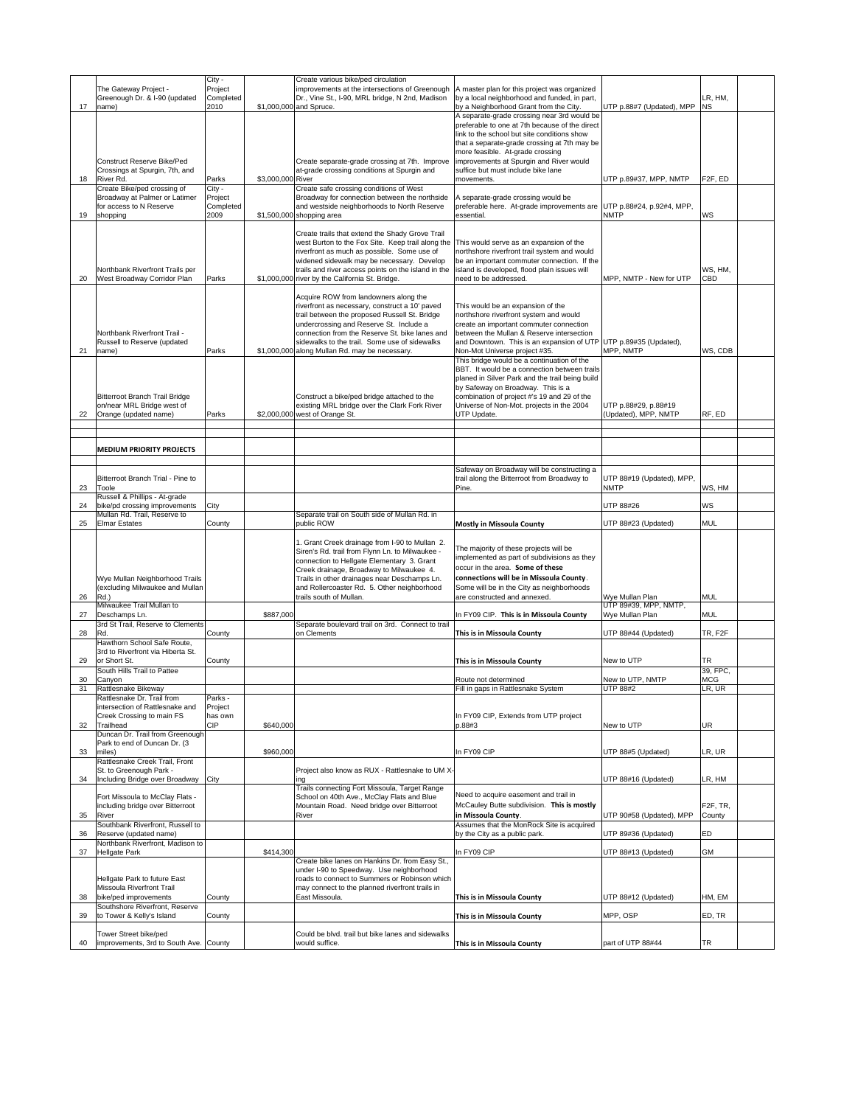|    |                                                                                       | City -                       |                   | Create various bike/ped circulation                                                                                                                                                                                                                                                                                                      |                                                                                                                                                                                                                                                                                                                                 |                                             |                                 |  |
|----|---------------------------------------------------------------------------------------|------------------------------|-------------------|------------------------------------------------------------------------------------------------------------------------------------------------------------------------------------------------------------------------------------------------------------------------------------------------------------------------------------------|---------------------------------------------------------------------------------------------------------------------------------------------------------------------------------------------------------------------------------------------------------------------------------------------------------------------------------|---------------------------------------------|---------------------------------|--|
|    | The Gateway Project -<br>Greenough Dr. & I-90 (updated                                | Project<br>Completed         |                   | improvements at the intersections of Greenough<br>Dr., Vine St., I-90, MRL bridge, N 2nd, Madison                                                                                                                                                                                                                                        | A master plan for this project was organized<br>by a local neighborhood and funded, in part,                                                                                                                                                                                                                                    |                                             | LR, HM,                         |  |
| 17 | name)                                                                                 | 2010                         |                   | \$1,000,000 and Spruce.                                                                                                                                                                                                                                                                                                                  | by a Neighborhood Grant from the City.                                                                                                                                                                                                                                                                                          | UTP p.88#7 (Updated), MPP                   | <b>NS</b>                       |  |
|    | Construct Reserve Bike/Ped<br>Crossings at Spurgin, 7th, and                          |                              |                   | Create separate-grade crossing at 7th. Improve<br>at-grade crossing conditions at Spurgin and                                                                                                                                                                                                                                            | A separate-grade crossing near 3rd would be<br>preferable to one at 7th because of the direct<br>link to the school but site conditions show<br>that a separate-grade crossing at 7th may be<br>more feasible. At-grade crossing<br>improvements at Spurgin and River would<br>suffice but must include bike lane<br>movements. |                                             |                                 |  |
| 18 | River Rd.<br>Create Bike/ped crossing of                                              | Parks<br>City -              | \$3,000,000 River | Create safe crossing conditions of West                                                                                                                                                                                                                                                                                                  |                                                                                                                                                                                                                                                                                                                                 | UTP p.89#37, MPP, NMTP                      | F <sub>2F</sub> , ED            |  |
| 19 | Broadway at Palmer or Latimer<br>for access to N Reserve<br>shopping                  | Project<br>Completed<br>2009 |                   | Broadway for connection between the northside<br>and westside neighborhoods to North Reserve<br>\$1,500,000 shopping area                                                                                                                                                                                                                | A separate-grade crossing would be<br>preferable here. At-grade improvements are<br>essential.                                                                                                                                                                                                                                  | UTP p.88#24, p.92#4, MPP,<br>NMTP           | WS                              |  |
| 20 | Northbank Riverfront Trails per<br>West Broadway Corridor Plan                        | Parks                        |                   | Create trails that extend the Shady Grove Trail<br>west Burton to the Fox Site. Keep trail along the<br>riverfront as much as possible. Some use of<br>widened sidewalk may be necessary. Develop<br>trails and river access points on the island in the<br>\$1,000,000 river by the California St. Bridge.                              | This would serve as an expansion of the<br>northshore riverfront trail system and would<br>be an important commuter connection. If the<br>island is developed, flood plain issues will<br>need to be addressed.                                                                                                                 | MPP, NMTP - New for UTP                     | WS, HM,<br>CBD                  |  |
|    |                                                                                       |                              |                   |                                                                                                                                                                                                                                                                                                                                          |                                                                                                                                                                                                                                                                                                                                 |                                             |                                 |  |
| 21 | Northbank Riverfront Trail -<br>Russell to Reserve (updated<br>name)                  | Parks                        |                   | Acquire ROW from landowners along the<br>riverfront as necessary, construct a 10' paved<br>trail between the proposed Russell St. Bridge<br>undercrossing and Reserve St. Include a<br>connection from the Reserve St. bike lanes and<br>sidewalks to the trail. Some use of sidewalks<br>\$1,000,000 along Mullan Rd. may be necessary. | This would be an expansion of the<br>northshore riverfront system and would<br>create an important commuter connection<br>between the Mullan & Reserve intersection<br>and Downtown. This is an expansion of UTP UTP p.89#35 (Updated),<br>Non-Mot Universe project #35.                                                        | MPP, NMTP                                   | WS, CDB                         |  |
|    |                                                                                       |                              |                   |                                                                                                                                                                                                                                                                                                                                          | This bridge would be a continuation of the                                                                                                                                                                                                                                                                                      |                                             |                                 |  |
| 22 | Bitterroot Branch Trail Bridge<br>on/near MRL Bridge west of<br>Orange (updated name) | Parks                        |                   | Construct a bike/ped bridge attached to the<br>existing MRL bridge over the Clark Fork River<br>\$2,000,000 west of Orange St.                                                                                                                                                                                                           | BBT. It would be a connection between trails<br>planed in Silver Park and the trail being build<br>by Safeway on Broadway. This is a<br>combination of project #'s 19 and 29 of the<br>Universe of Non-Mot. projects in the 2004<br>UTP Update.                                                                                 | UTP p.88#29, p.88#19<br>Updated), MPP, NMTP | RF, ED                          |  |
|    |                                                                                       |                              |                   |                                                                                                                                                                                                                                                                                                                                          |                                                                                                                                                                                                                                                                                                                                 |                                             |                                 |  |
|    | <b>MEDIUM PRIORITY PROJECTS</b>                                                       |                              |                   |                                                                                                                                                                                                                                                                                                                                          |                                                                                                                                                                                                                                                                                                                                 |                                             |                                 |  |
|    |                                                                                       |                              |                   |                                                                                                                                                                                                                                                                                                                                          |                                                                                                                                                                                                                                                                                                                                 |                                             |                                 |  |
| 23 | Bitterroot Branch Trial - Pine to<br>Toole                                            |                              |                   |                                                                                                                                                                                                                                                                                                                                          | Safeway on Broadway will be constructing a<br>trail along the Bitterroot from Broadway to<br>Pine.                                                                                                                                                                                                                              | UTP 88#19 (Updated), MPP,<br>NMTP           | WS, HM                          |  |
|    | Russell & Phillips - At-grade                                                         |                              |                   |                                                                                                                                                                                                                                                                                                                                          |                                                                                                                                                                                                                                                                                                                                 |                                             |                                 |  |
| 24 | bike/pd crossing improvements<br>Mullan Rd. Trail, Reserve to                         | City                         |                   | Separate trail on South side of Mullan Rd. in                                                                                                                                                                                                                                                                                            |                                                                                                                                                                                                                                                                                                                                 | UTP 88#26                                   | <b>WS</b>                       |  |
| 25 | <b>Elmar Estates</b>                                                                  | County                       |                   | public ROW                                                                                                                                                                                                                                                                                                                               | <b>Mostly in Missoula County</b>                                                                                                                                                                                                                                                                                                | UTP 88#23 (Updated)                         | <b>MUL</b>                      |  |
| 26 | Wye Mullan Neighborhood Trails<br>(excluding Milwaukee and Mullan<br>Rd.)             |                              |                   | 1. Grant Creek drainage from I-90 to Mullan 2.<br>Siren's Rd. trail from Flynn Ln. to Milwaukee -<br>connection to Hellgate Elementary 3. Grant<br>Creek drainage, Broadway to Milwaukee 4.<br>Trails in other drainages near Deschamps Ln.<br>and Rollercoaster Rd. 5. Other neighborhood<br>trails south of Mullan.                    | The majority of these projects will be<br>mplemented as part of subdivisions as they<br>occur in the area. Some of these<br>connections will be in Missoula County.<br>Some will be in the City as neighborhoods<br>are constructed and annexed.                                                                                | Wye Mullan Plan                             | MUL                             |  |
|    | Milwaukee Trail Mullan to                                                             |                              |                   |                                                                                                                                                                                                                                                                                                                                          |                                                                                                                                                                                                                                                                                                                                 | UTP 89#39, MPP, NMTP,                       |                                 |  |
| 27 | Deschamps Ln.<br>3rd St Trail, Reserve to Clements                                    |                              | \$887,000         | Separate boulevard trail on 3rd. Connect to trail                                                                                                                                                                                                                                                                                        | In FY09 CIP. This is in Missoula County                                                                                                                                                                                                                                                                                         | Wye Mullan Plan                             | <b>MUL</b>                      |  |
| 28 | Rd.                                                                                   | County                       |                   | on Clements                                                                                                                                                                                                                                                                                                                              | This is in Missoula County                                                                                                                                                                                                                                                                                                      | UTP 88#44 (Updated)                         | TR, F2F                         |  |
|    | Hawthorn School Safe Route,                                                           |                              |                   |                                                                                                                                                                                                                                                                                                                                          |                                                                                                                                                                                                                                                                                                                                 |                                             |                                 |  |
|    | 3rd to Riverfront via Hiberta St.                                                     |                              |                   |                                                                                                                                                                                                                                                                                                                                          |                                                                                                                                                                                                                                                                                                                                 |                                             |                                 |  |
| 29 | or Short St.<br>South Hills Trail to Pattee                                           | County                       |                   |                                                                                                                                                                                                                                                                                                                                          | This is in Missoula County                                                                                                                                                                                                                                                                                                      | New to UTP                                  | TR<br>39, FPC,                  |  |
| 30 | Canyon                                                                                |                              |                   |                                                                                                                                                                                                                                                                                                                                          | Route not determined                                                                                                                                                                                                                                                                                                            | New to UTP, NMTP                            | <b>MCG</b>                      |  |
| 31 | Rattlesnake Bikeway                                                                   |                              |                   |                                                                                                                                                                                                                                                                                                                                          | Fill in gaps in Rattlesnake System                                                                                                                                                                                                                                                                                              | <b>UTP 88#2</b>                             | LR, UR                          |  |
|    | Rattlesnake Dr. Trail from                                                            | Parks -                      |                   |                                                                                                                                                                                                                                                                                                                                          |                                                                                                                                                                                                                                                                                                                                 |                                             |                                 |  |
|    | intersection of Rattlesnake and                                                       | Project                      |                   |                                                                                                                                                                                                                                                                                                                                          |                                                                                                                                                                                                                                                                                                                                 |                                             |                                 |  |
| 32 | Creek Crossing to main FS<br>Trailhead                                                | has own<br>CIP               | \$640,000         |                                                                                                                                                                                                                                                                                                                                          | In FY09 CIP, Extends from UTP project<br>0.88#3                                                                                                                                                                                                                                                                                 | New to UTP                                  | <b>UR</b>                       |  |
|    | Duncan Dr. Trail from Greenough                                                       |                              |                   |                                                                                                                                                                                                                                                                                                                                          |                                                                                                                                                                                                                                                                                                                                 |                                             |                                 |  |
|    | Park to end of Duncan Dr. (3                                                          |                              |                   |                                                                                                                                                                                                                                                                                                                                          |                                                                                                                                                                                                                                                                                                                                 |                                             |                                 |  |
| 33 | miles)                                                                                |                              | \$960,000         |                                                                                                                                                                                                                                                                                                                                          | In FY09 CIP                                                                                                                                                                                                                                                                                                                     | UTP 88#5 (Updated)                          | LR, UR                          |  |
|    | Rattlesnake Creek Trail, Front                                                        |                              |                   |                                                                                                                                                                                                                                                                                                                                          |                                                                                                                                                                                                                                                                                                                                 |                                             |                                 |  |
| 34 | St. to Greenough Park -<br>Including Bridge over Broadway                             | City                         |                   | Project also know as RUX - Rattlesnake to UM X-<br>ing                                                                                                                                                                                                                                                                                   |                                                                                                                                                                                                                                                                                                                                 | UTP 88#16 (Updated)                         | LR, HM                          |  |
|    |                                                                                       |                              |                   | Trails connecting Fort Missoula, Target Range                                                                                                                                                                                                                                                                                            |                                                                                                                                                                                                                                                                                                                                 |                                             |                                 |  |
| 35 | Fort Missoula to McClay Flats -<br>including bridge over Bitterroot<br>River          |                              |                   | School on 40th Ave., McClay Flats and Blue<br>Mountain Road. Need bridge over Bitterroot<br>River                                                                                                                                                                                                                                        | Need to acquire easement and trail in<br>McCauley Butte subdivision. This is mostly<br>in Missoula County.                                                                                                                                                                                                                      | UTP 90#58 (Updated), MPP                    | F <sub>2F</sub> , TR,<br>County |  |
|    | Southbank Riverfront, Russell to                                                      |                              |                   |                                                                                                                                                                                                                                                                                                                                          | Assumes that the MonRock Site is acquired                                                                                                                                                                                                                                                                                       |                                             |                                 |  |
| 36 | Reserve (updated name)                                                                |                              |                   |                                                                                                                                                                                                                                                                                                                                          | by the City as a public park.                                                                                                                                                                                                                                                                                                   | JTP 89#36 (Updated)                         | ED                              |  |
|    | Northbank Riverfront, Madison to                                                      |                              |                   |                                                                                                                                                                                                                                                                                                                                          |                                                                                                                                                                                                                                                                                                                                 |                                             |                                 |  |
| 37 | Hellgate Park                                                                         |                              | \$414,300         | Create bike lanes on Hankins Dr. from Easy St.,                                                                                                                                                                                                                                                                                          | In FY09 CIP                                                                                                                                                                                                                                                                                                                     | UTP 88#13 (Updated)                         | GM                              |  |
|    |                                                                                       |                              |                   | under I-90 to Speedway. Use neighborhood                                                                                                                                                                                                                                                                                                 |                                                                                                                                                                                                                                                                                                                                 |                                             |                                 |  |
|    | Hellgate Park to future East                                                          |                              |                   | roads to connect to Summers or Robinson which                                                                                                                                                                                                                                                                                            |                                                                                                                                                                                                                                                                                                                                 |                                             |                                 |  |
|    | Missoula Riverfront Trail                                                             |                              |                   | may connect to the planned riverfront trails in                                                                                                                                                                                                                                                                                          |                                                                                                                                                                                                                                                                                                                                 |                                             |                                 |  |
| 38 | bike/ped improvements                                                                 | County                       |                   | East Missoula.                                                                                                                                                                                                                                                                                                                           | This is in Missoula County                                                                                                                                                                                                                                                                                                      | UTP 88#12 (Updated)                         | HM, EM                          |  |
|    | Southshore Riverfront, Reserve                                                        |                              |                   |                                                                                                                                                                                                                                                                                                                                          |                                                                                                                                                                                                                                                                                                                                 |                                             |                                 |  |
| 39 | to Tower & Kelly's Island                                                             | County                       |                   |                                                                                                                                                                                                                                                                                                                                          | This is in Missoula County                                                                                                                                                                                                                                                                                                      | MPP, OSP                                    | ED, TR                          |  |
|    |                                                                                       |                              |                   |                                                                                                                                                                                                                                                                                                                                          |                                                                                                                                                                                                                                                                                                                                 |                                             |                                 |  |
|    | Tower Street bike/ped                                                                 |                              |                   | Could be blvd. trail but bike lanes and sidewalks                                                                                                                                                                                                                                                                                        |                                                                                                                                                                                                                                                                                                                                 |                                             |                                 |  |